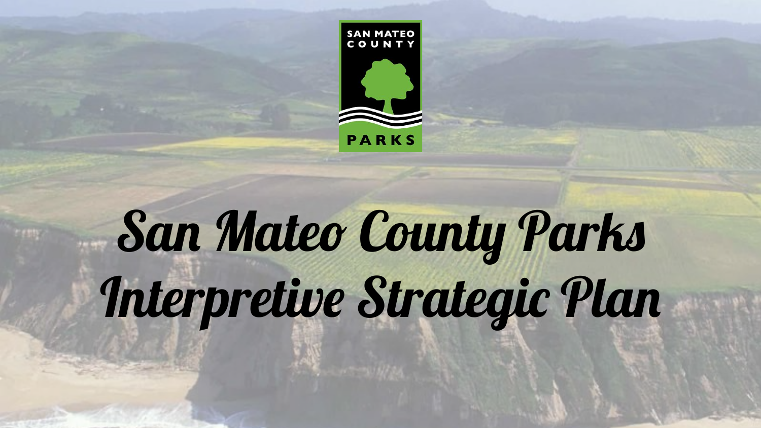

# San Mateo County Parks Interpretive Strategic Plan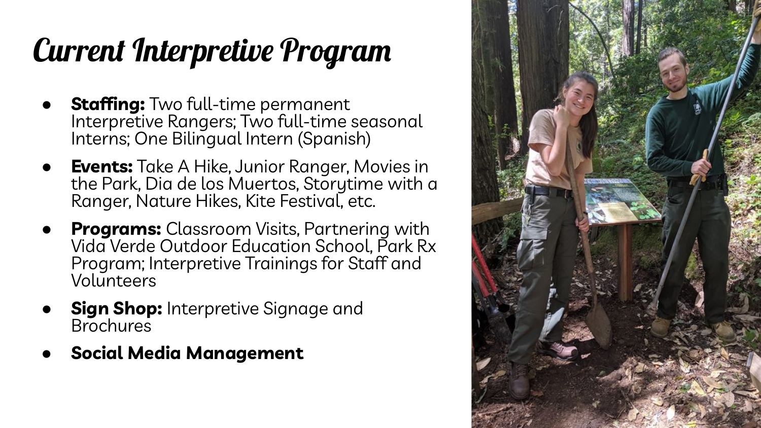## Current Interpretive Program

- **Staffing:** Two full-time permanent Interpretive Rangers; Two full-time seasonal Interns; One Bilingual Intern (Spanish)
- **Events:** Take A Hike, Junior Ranger, Movies in the Park, Dia de los Muertos, Storytime with a Ranger, Nature Hikes, Kite Festival, etc.
- **Programs:** Classroom Visits, Partnering with Vida Verde Outdoor Education School, Park Rx Program; Interpretive Trainings for Staff and Volunteers
- **Sign Shop:** Interpretive Signage and Brochures
- **● Social Media Management**

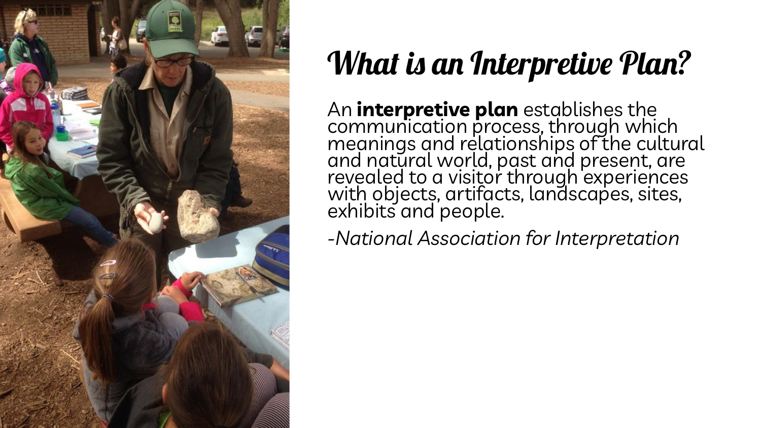

## What is an Interpretive Plan?

An **interpretive plan** establishes the communication process, through which meanings and relationships of the cultural and natural world, past and present, are revealed to a visitor through experiences with objects, artifacts, landscapes, sites, exhibits and people.

*-National Association for Interpretation*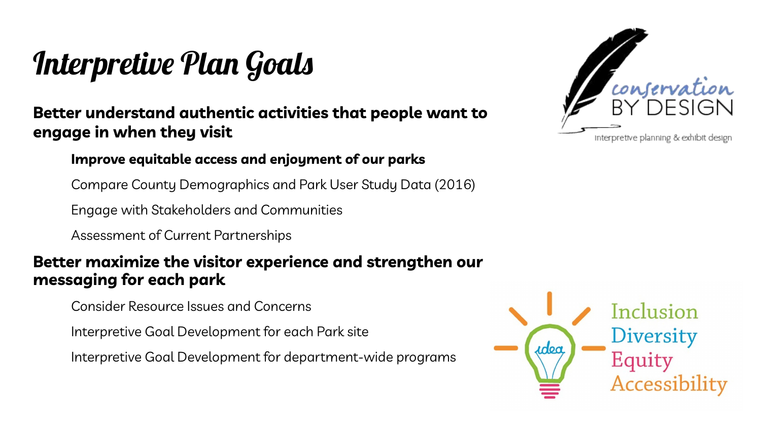### Interpretive Plan Goals

**Better understand authentic activities that people want to engage in when they visit**

#### **Improve equitable access and enjoyment of our parks**

Compare County Demographics and Park User Study Data (2016)

Engage with Stakeholders and Communities

Assessment of Current Partnerships

#### **Better maximize the visitor experience and strengthen our messaging for each park**

Consider Resource Issues and Concerns

Interpretive Goal Development for each Park site

Interpretive Goal Development for department-wide programs



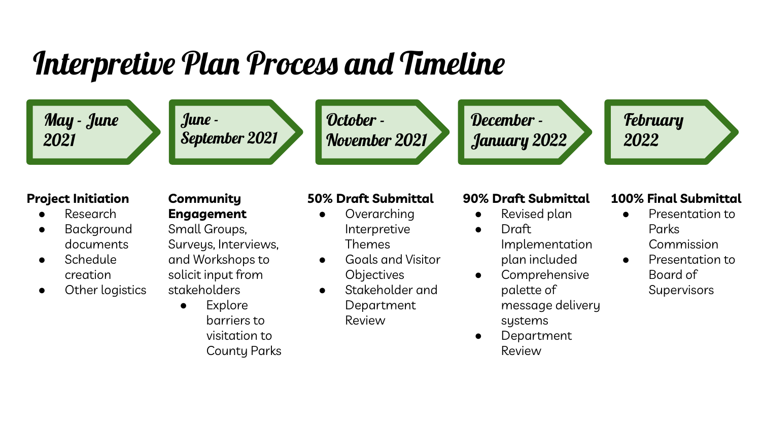### Interpretive Plan Process and Timeline

May - June 2021



October - November 2021 December - January 2022 **February** 2022

#### **Project Initiation**

- **Research**
- **Background** documents
- Schedule creation
- Other logistics

### **Community**

**Engagement**

Small Groups, Surveys, Interviews, and Workshops to solicit input from stakeholders

● Explore barriers to visitation to

County Parks

#### **50% Draft Submittal**

- Overarching Interpretive Themes
- Goals and Visitor **Objectives**
- Stakeholder and Department Review

#### **90% Draft Submittal**

- Revised plan ● Draft
	- Implementation plan included
- Comprehensive palette of message delivery systems
- Department Review

#### **100% Final Submittal**

- Presentation to Parks Commission
- Presentation to Board of
	- **Supervisors**